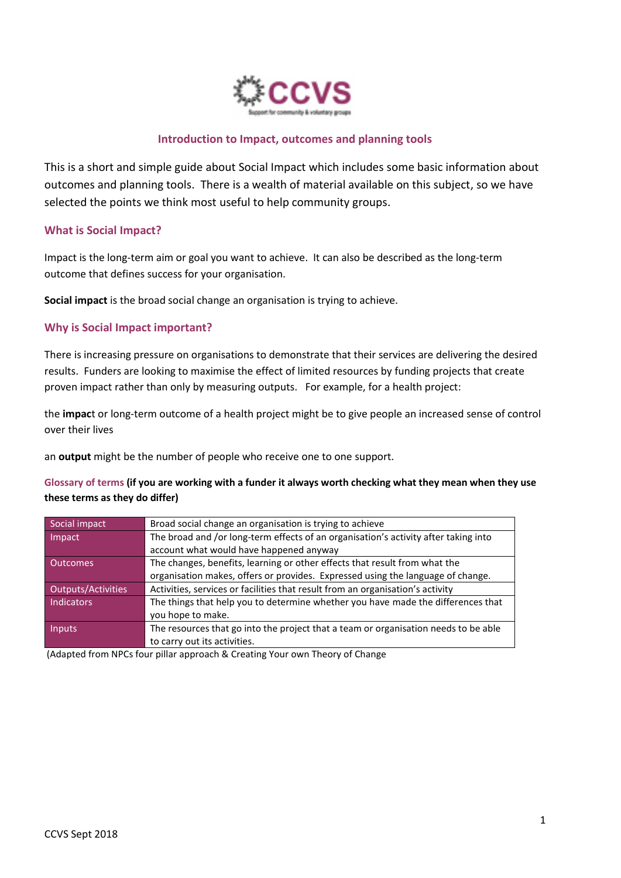

#### **Introduction to Impact, outcomes and planning tools**

This is a short and simple guide about Social Impact which includes some basic information about outcomes and planning tools. There is a wealth of material available on this subject, so we have selected the points we think most useful to help community groups.

#### **What is Social Impact?**

Impact is the long-term aim or goal you want to achieve. It can also be described as the long-term outcome that defines success for your organisation.

**Social impact** is the broad social change an organisation is trying to achieve.

#### **Why is Social Impact important?**

There is increasing pressure on organisations to demonstrate that their services are delivering the desired results. Funders are looking to maximise the effect of limited resources by funding projects that create proven impact rather than only by measuring outputs. For example, for a health project:

the **impac**t or long-term outcome of a health project might be to give people an increased sense of control over their lives

an **output** might be the number of people who receive one to one support.

#### **Glossary of terms (if you are working with a funder it always worth checking what they mean when they use these terms as they do differ)**

| Social impact      | Broad social change an organisation is trying to achieve                            |
|--------------------|-------------------------------------------------------------------------------------|
| Impact             | The broad and /or long-term effects of an organisation's activity after taking into |
|                    | account what would have happened anyway                                             |
| <b>Outcomes</b>    | The changes, benefits, learning or other effects that result from what the          |
|                    | organisation makes, offers or provides. Expressed using the language of change.     |
| Outputs/Activities | Activities, services or facilities that result from an organisation's activity      |
| Indicators         | The things that help you to determine whether you have made the differences that    |
|                    | you hope to make.                                                                   |
| <b>Inputs</b>      | The resources that go into the project that a team or organisation needs to be able |
|                    | to carry out its activities.                                                        |

(Adapted from NPCs four pillar approach & Creating Your own Theory of Change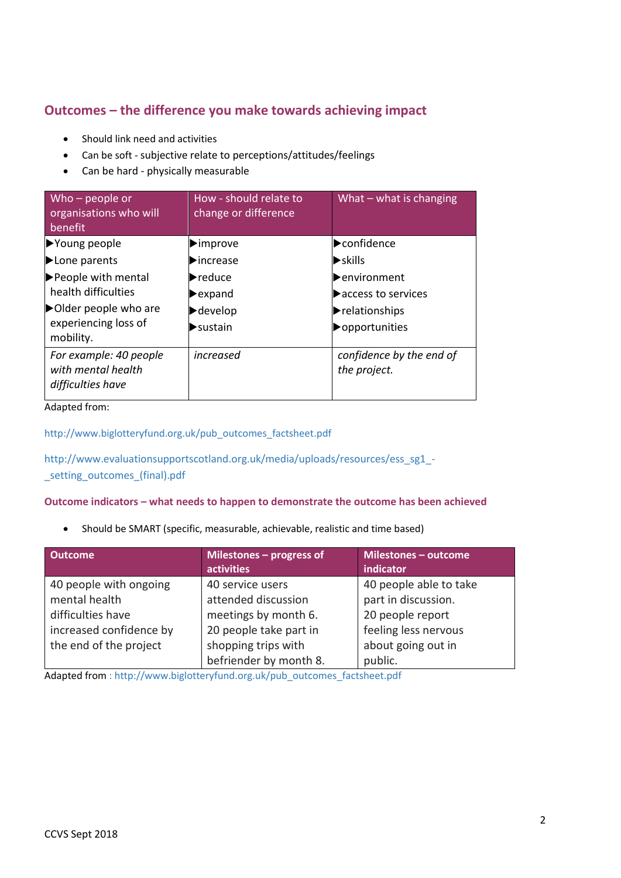## **Outcomes – the difference you make towards achieving impact**

- Should link need and activities
- Can be soft subjective relate to perceptions/attitudes/feelings
- Can be hard physically measurable

| Who $-$ people or<br>organisations who will<br>benefit            | How - should relate to<br>change or difference | What $-$ what is changing                |
|-------------------------------------------------------------------|------------------------------------------------|------------------------------------------|
| ▶Young people                                                     | $\blacktriangleright$ improve                  | confidence                               |
| Lone parents                                                      | $\blacktriangleright$ increase                 | $\blacktriangleright$ skills             |
| People with mental                                                | $\blacktriangleright$ reduce                   | lenvironment                             |
| health difficulties                                               | $\blacktriangleright$ expand                   | $\blacktriangleright$ access to services |
| Older people who are                                              | $\blacktriangleright$ develop                  | $\blacktriangleright$ relationships      |
| experiencing loss of<br>mobility.                                 | $\blacktriangleright$ sustain                  | opportunities                            |
| For example: 40 people<br>with mental health<br>difficulties have | increased                                      | confidence by the end of<br>the project. |

Adapted from:

[http://www.biglotteryfund.org.uk/pub\\_outcomes\\_factsheet.pdf](http://www.biglotteryfund.org.uk/pub_outcomes_factsheet.pdf)

[http://www.evaluationsupportscotland.org.uk/media/uploads/resources/ess\\_sg1\\_-](http://www.evaluationsupportscotland.org.uk/media/uploads/resources/ess_sg1_-_setting_outcomes_(final).pdf) [\\_setting\\_outcomes\\_\(final\).pdf](http://www.evaluationsupportscotland.org.uk/media/uploads/resources/ess_sg1_-_setting_outcomes_(final).pdf)

#### **Outcome indicators – what needs to happen to demonstrate the outcome has been achieved**

• Should be SMART (specific, measurable, achievable, realistic and time based)

| <b>Outcome</b>          | Milestones - progress of<br>activities | <b>Milestones - outcome</b><br>indicator |
|-------------------------|----------------------------------------|------------------------------------------|
| 40 people with ongoing  | 40 service users                       | 40 people able to take                   |
| mental health           | attended discussion                    | part in discussion.                      |
| difficulties have       | meetings by month 6.                   | 20 people report                         |
| increased confidence by | 20 people take part in                 | feeling less nervous                     |
| the end of the project  | shopping trips with                    | about going out in                       |
|                         | befriender by month 8.                 | public.                                  |

Adapted from [: http://www.biglotteryfund.org.uk/pub\\_outcomes\\_factsheet.pdf](http://www.biglotteryfund.org.uk/pub_outcomes_factsheet.pdf)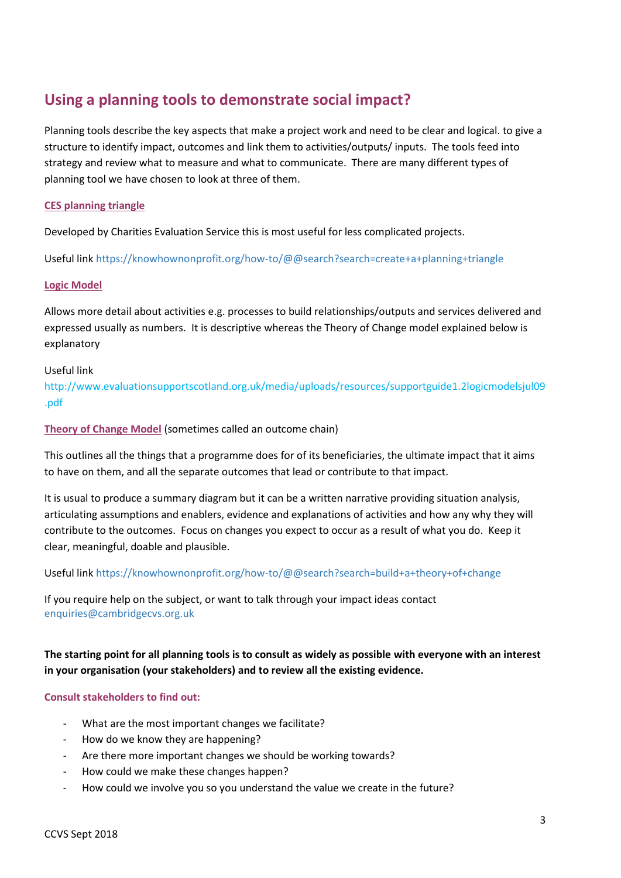# **Using a planning tools to demonstrate social impact?**

Planning tools describe the key aspects that make a project work and need to be clear and logical. to give a structure to identify impact, outcomes and link them to activities/outputs/ inputs. The tools feed into strategy and review what to measure and what to communicate. There are many different types of planning tool we have chosen to look at three of them.

#### **CES planning triangle**

Developed by Charities Evaluation Service this is most useful for less complicated projects.

Useful link<https://knowhownonprofit.org/how-to/@@search?search=create+a+planning+triangle>

#### **Logic Model**

Allows more detail about activities e.g. processes to build relationships/outputs and services delivered and expressed usually as numbers. It is descriptive whereas the Theory of Change model explained below is explanatory

#### Useful link

[http://www.evaluationsupportscotland.org.uk/media/uploads/resources/supportguide1.2logicmodelsjul09](http://www.evaluationsupportscotland.org.uk/media/uploads/resources/supportguide1.2logicmodelsjul09.pdf) [.pdf](http://www.evaluationsupportscotland.org.uk/media/uploads/resources/supportguide1.2logicmodelsjul09.pdf)

#### **Theory of Change Model** (sometimes called an outcome chain)

This outlines all the things that a programme does for of its beneficiaries, the ultimate impact that it aims to have on them, and all the separate outcomes that lead or contribute to that impact.

It is usual to produce a summary diagram but it can be a written narrative providing situation analysis, articulating assumptions and enablers, evidence and explanations of activities and how any why they will contribute to the outcomes. Focus on changes you expect to occur as a result of what you do. Keep it clear, meaningful, doable and plausible.

Useful link<https://knowhownonprofit.org/how-to/@@search?search=build+a+theory+of+change>

If you require help on the subject, or want to talk through your impact ideas contact [enquiries@cambridgecvs.org.uk](mailto:enquiries@cambridgecvs.org.uk)

**The starting point for all planning tools is to consult as widely as possible with everyone with an interest in your organisation (your stakeholders) and to review all the existing evidence.**

#### **Consult stakeholders to find out:**

- What are the most important changes we facilitate?
- How do we know they are happening?
- Are there more important changes we should be working towards?
- How could we make these changes happen?
- How could we involve you so you understand the value we create in the future?